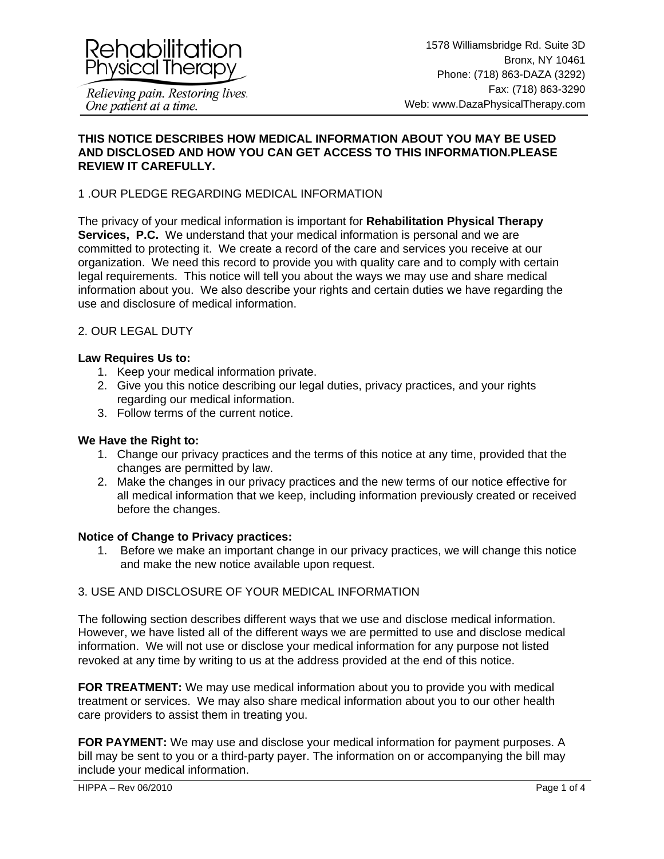

#### **THIS NOTICE DESCRIBES HOW MEDICAL INFORMATION ABOUT YOU MAY BE USED AND DISCLOSED AND HOW YOU CAN GET ACCESS TO THIS INFORMATION.PLEASE REVIEW IT CAREFULLY.**

# 1 .OUR PLEDGE REGARDING MEDICAL INFORMATION

The privacy of your medical information is important for **Rehabilitation Physical Therapy Services, P.C.** We understand that your medical information is personal and we are committed to protecting it. We create a record of the care and services you receive at our organization. We need this record to provide you with quality care and to comply with certain legal requirements. This notice will tell you about the ways we may use and share medical information about you. We also describe your rights and certain duties we have regarding the use and disclosure of medical information.

## 2. OUR LEGAL DUTY

#### **Law Requires Us to:**

- 1. Keep your medical information private.
- 2. Give you this notice describing our legal duties, privacy practices, and your rights regarding our medical information.
- 3. Follow terms of the current notice.

#### **We Have the Right to:**

- 1. Change our privacy practices and the terms of this notice at any time, provided that the changes are permitted by law.
- 2. Make the changes in our privacy practices and the new terms of our notice effective for all medical information that we keep, including information previously created or received before the changes.

#### **Notice of Change to Privacy practices:**

1. Before we make an important change in our privacy practices, we will change this notice and make the new notice available upon request.

## 3. USE AND DISCLOSURE OF YOUR MEDICAL INFORMATION

The following section describes different ways that we use and disclose medical information. However, we have listed all of the different ways we are permitted to use and disclose medical information. We will not use or disclose your medical information for any purpose not listed revoked at any time by writing to us at the address provided at the end of this notice.

**FOR TREATMENT:** We may use medical information about you to provide you with medical treatment or services. We may also share medical information about you to our other health care providers to assist them in treating you.

**FOR PAYMENT:** We may use and disclose your medical information for payment purposes. A bill may be sent to you or a third-party payer. The information on or accompanying the bill may include your medical information.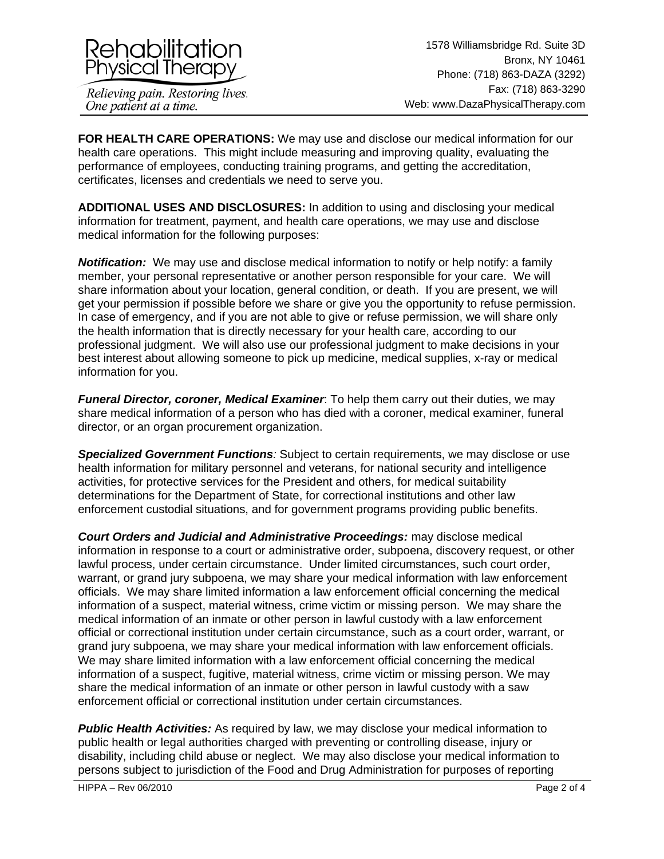

**FOR HEALTH CARE OPERATIONS:** We may use and disclose our medical information for our health care operations. This might include measuring and improving quality, evaluating the performance of employees, conducting training programs, and getting the accreditation, certificates, licenses and credentials we need to serve you.

**ADDITIONAL USES AND DISCLOSURES:** In addition to using and disclosing your medical information for treatment, payment, and health care operations, we may use and disclose medical information for the following purposes:

**Notification:** We may use and disclose medical information to notify or help notify: a family member, your personal representative or another person responsible for your care. We will share information about your location, general condition, or death. If you are present, we will get your permission if possible before we share or give you the opportunity to refuse permission. In case of emergency, and if you are not able to give or refuse permission, we will share only the health information that is directly necessary for your health care, according to our professional judgment. We will also use our professional judgment to make decisions in your best interest about allowing someone to pick up medicine, medical supplies, x-ray or medical information for you.

*Funeral Director, coroner, Medical Examiner*: To help them carry out their duties, we may share medical information of a person who has died with a coroner, medical examiner, funeral director, or an organ procurement organization.

*Specialized Government Functions:* Subject to certain requirements, we may disclose or use health information for military personnel and veterans, for national security and intelligence activities, for protective services for the President and others, for medical suitability determinations for the Department of State, for correctional institutions and other law enforcement custodial situations, and for government programs providing public benefits.

*Court Orders and Judicial and Administrative Proceedings:* may disclose medical information in response to a court or administrative order, subpoena, discovery request, or other lawful process, under certain circumstance. Under limited circumstances, such court order, warrant, or grand jury subpoena, we may share your medical information with law enforcement officials. We may share limited information a law enforcement official concerning the medical information of a suspect, material witness, crime victim or missing person. We may share the medical information of an inmate or other person in lawful custody with a law enforcement official or correctional institution under certain circumstance, such as a court order, warrant, or grand jury subpoena, we may share your medical information with law enforcement officials. We may share limited information with a law enforcement official concerning the medical information of a suspect, fugitive, material witness, crime victim or missing person. We may share the medical information of an inmate or other person in lawful custody with a saw enforcement official or correctional institution under certain circumstances.

*Public Health Activities:* As required by law, we may disclose your medical information to public health or legal authorities charged with preventing or controlling disease, injury or disability, including child abuse or neglect. We may also disclose your medical information to persons subject to jurisdiction of the Food and Drug Administration for purposes of reporting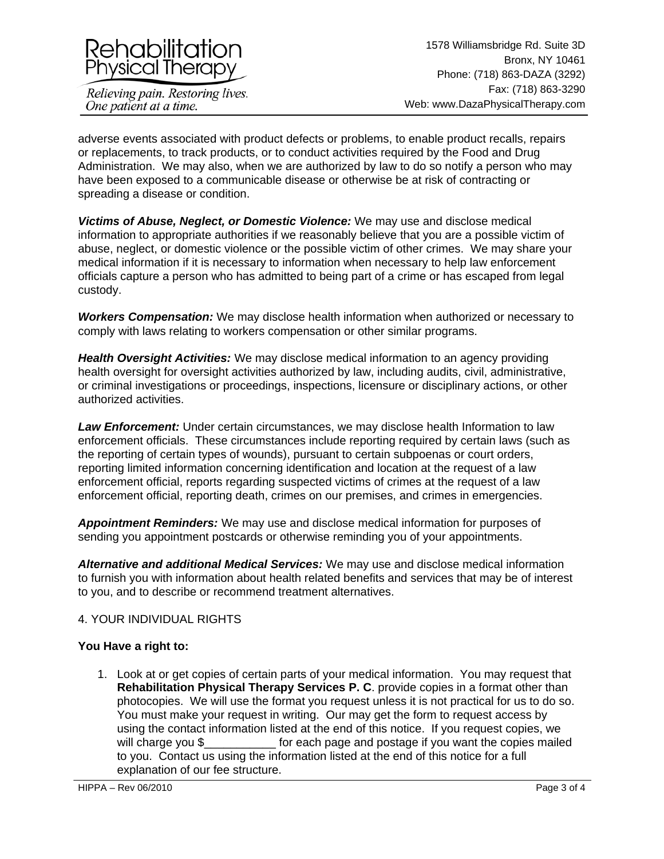

adverse events associated with product defects or problems, to enable product recalls, repairs or replacements, to track products, or to conduct activities required by the Food and Drug Administration. We may also, when we are authorized by law to do so notify a person who may have been exposed to a communicable disease or otherwise be at risk of contracting or spreading a disease or condition.

*Victims of Abuse, Neglect, or Domestic Violence:* We may use and disclose medical information to appropriate authorities if we reasonably believe that you are a possible victim of abuse, neglect, or domestic violence or the possible victim of other crimes. We may share your medical information if it is necessary to information when necessary to help law enforcement officials capture a person who has admitted to being part of a crime or has escaped from legal custody.

*Workers Compensation:* We may disclose health information when authorized or necessary to comply with laws relating to workers compensation or other similar programs.

*Health Oversight Activities:* We may disclose medical information to an agency providing health oversight for oversight activities authorized by law, including audits, civil, administrative, or criminal investigations or proceedings, inspections, licensure or disciplinary actions, or other authorized activities.

*Law Enforcement:* Under certain circumstances, we may disclose health Information to law enforcement officials. These circumstances include reporting required by certain laws (such as the reporting of certain types of wounds), pursuant to certain subpoenas or court orders, reporting limited information concerning identification and location at the request of a law enforcement official, reports regarding suspected victims of crimes at the request of a law enforcement official, reporting death, crimes on our premises, and crimes in emergencies.

*Appointment Reminders:* We may use and disclose medical information for purposes of sending you appointment postcards or otherwise reminding you of your appointments.

*Alternative and additional Medical Services:* We may use and disclose medical information to furnish you with information about health related benefits and services that may be of interest to you, and to describe or recommend treatment alternatives.

## 4. YOUR INDIVIDUAL RIGHTS

## **You Have a right to:**

1. Look at or get copies of certain parts of your medical information. You may request that **Rehabilitation Physical Therapy Services P. C**. provide copies in a format other than photocopies. We will use the format you request unless it is not practical for us to do so. You must make your request in writing. Our may get the form to request access by using the contact information listed at the end of this notice. If you request copies, we will charge you \$ for each page and postage if you want the copies mailed to you. Contact us using the information listed at the end of this notice for a full explanation of our fee structure.